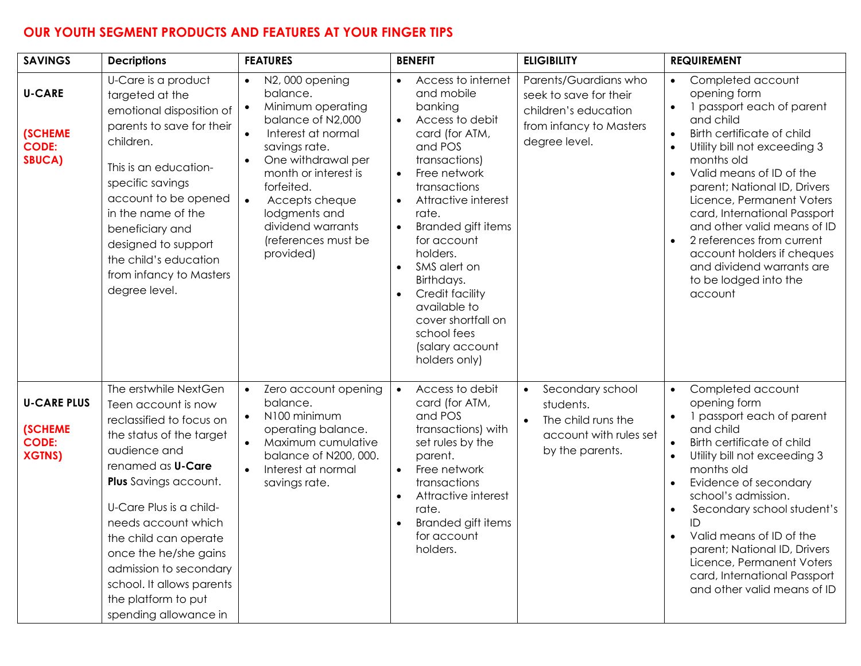## **OUR YOUTH SEGMENT PRODUCTS AND FEATURES AT YOUR FINGER TIPS**

| <b>SAVINGS</b>                                                        | <b>Decriptions</b>                                                                                                                                                                                                                                                                                                                                                                          | <b>FEATURES</b>                                                                                                                                                                                                                                                                                                                      | <b>BENEFIT</b>                                                                                                                                                                                                                                                                                                                                                                                                                                        | <b>ELIGIBILITY</b>                                                                                                         | <b>REQUIREMENT</b>                                                                                                                                                                                                                                                                                                                                                                                                                          |
|-----------------------------------------------------------------------|---------------------------------------------------------------------------------------------------------------------------------------------------------------------------------------------------------------------------------------------------------------------------------------------------------------------------------------------------------------------------------------------|--------------------------------------------------------------------------------------------------------------------------------------------------------------------------------------------------------------------------------------------------------------------------------------------------------------------------------------|-------------------------------------------------------------------------------------------------------------------------------------------------------------------------------------------------------------------------------------------------------------------------------------------------------------------------------------------------------------------------------------------------------------------------------------------------------|----------------------------------------------------------------------------------------------------------------------------|---------------------------------------------------------------------------------------------------------------------------------------------------------------------------------------------------------------------------------------------------------------------------------------------------------------------------------------------------------------------------------------------------------------------------------------------|
| <b>U-CARE</b><br><b>(SCHEME</b><br><b>CODE:</b><br><b>SBUCA)</b>      | U-Care is a product<br>targeted at the<br>emotional disposition of<br>parents to save for their<br>children.<br>This is an education-<br>specific savings<br>account to be opened<br>in the name of the<br>beneficiary and<br>designed to support<br>the child's education<br>from infancy to Masters<br>degree level.                                                                      | N2,000 opening<br>$\bullet$<br>balance.<br>Minimum operating<br>$\bullet$<br>balance of N2,000<br>Interest at normal<br>$\bullet$<br>savings rate.<br>One withdrawal per<br>$\bullet$<br>month or interest is<br>forfeited.<br>$\bullet$<br>Accepts cheque<br>lodgments and<br>dividend warrants<br>(references must be<br>provided) | Access to internet<br>$\bullet$<br>and mobile<br>banking<br>Access to debit<br>$\bullet$<br>card (for ATM,<br>and POS<br>transactions)<br>Free network<br>$\bullet$<br>transactions<br>Attractive interest<br>$\bullet$<br>rate.<br>Branded gift items<br>$\bullet$<br>for account<br>holders.<br>SMS alert on<br>$\bullet$<br>Birthdays.<br>Credit facility<br>available to<br>cover shortfall on<br>school fees<br>(salary account<br>holders only) | Parents/Guardians who<br>seek to save for their<br>children's education<br>from infancy to Masters<br>degree level.        | Completed account<br>opening form<br>1 passport each of parent<br>and child<br>Birth certificate of child<br>Utility bill not exceeding 3<br>months old<br>Valid means of ID of the<br>parent; National ID, Drivers<br>Licence, Permanent Voters<br>card, International Passport<br>and other valid means of ID<br>2 references from current<br>account holders if cheques<br>and dividend warrants are<br>to be lodged into the<br>account |
| <b>U-CARE PLUS</b><br><b>(SCHEME</b><br><b>CODE:</b><br><b>XGTNS)</b> | The erstwhile NextGen<br>Teen account is now<br>reclassified to focus on<br>the status of the target<br>audience and<br>renamed as <b>U-Care</b><br><b>Plus</b> Savings account.<br>U-Care Plus is a child-<br>needs account which<br>the child can operate<br>once the he/she gains<br>admission to secondary<br>school. It allows parents<br>the platform to put<br>spending allowance in | Zero account opening<br>$\bullet$<br>balance.<br>N100 minimum<br>$\bullet$<br>operating balance.<br>Maximum cumulative<br>$\bullet$<br>balance of N200, 000.<br>Interest at normal<br>$\bullet$<br>savings rate.                                                                                                                     | Access to debit<br>$\bullet$<br>card (for ATM,<br>and POS<br>transactions) with<br>set rules by the<br>parent.<br>Free network<br>$\bullet$<br>transactions<br>Attractive interest<br>rate.<br>Branded gift items<br>for account<br>holders.                                                                                                                                                                                                          | Secondary school<br>$\bullet$<br>students.<br>The child runs the<br>$\bullet$<br>account with rules set<br>by the parents. | Completed account<br>$\bullet$<br>opening form<br>1 passport each of parent<br>and child<br>Birth certificate of child<br>Utility bill not exceeding 3<br>months old<br>Evidence of secondary<br>school's admission.<br>Secondary school student's<br>ID<br>Valid means of ID of the<br>$\bullet$<br>parent; National ID, Drivers<br>Licence, Permanent Voters<br>card, International Passport<br>and other valid means of ID               |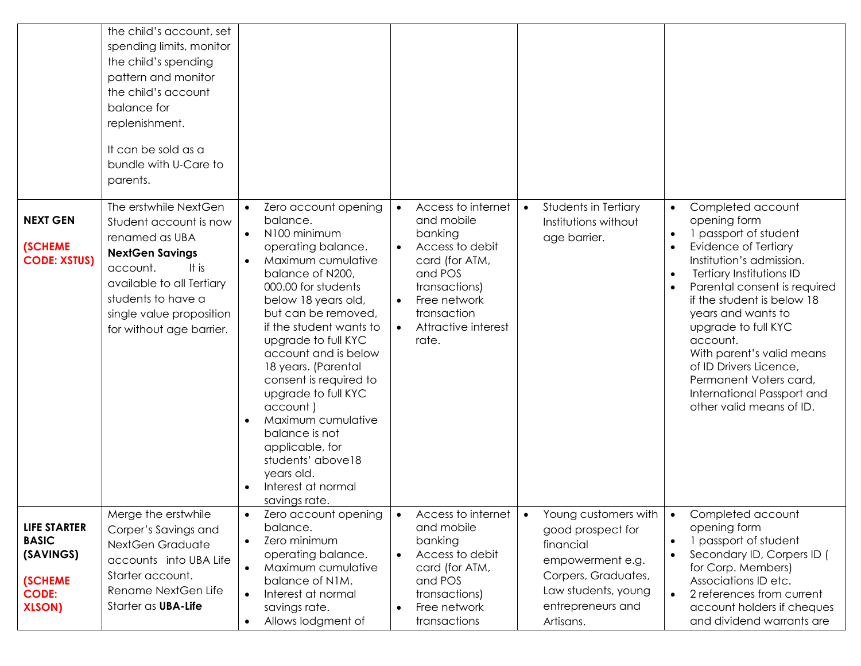|                                                                                                     | the child's account, set<br>spending limits, monitor<br>the child's spending<br>pattern and monitor<br>the child's account<br>balance for<br>replenishment.<br>It can be sold as a<br>bundle with U-Care to<br>parents.     |                                                                                                                                                                                                                                                                                                                                                                                                                                                                                                       |                                                                                                                                                                                                       |                                                                                                                                                            |                                                                                                                                                                                                                                                                                                                                                                                                              |
|-----------------------------------------------------------------------------------------------------|-----------------------------------------------------------------------------------------------------------------------------------------------------------------------------------------------------------------------------|-------------------------------------------------------------------------------------------------------------------------------------------------------------------------------------------------------------------------------------------------------------------------------------------------------------------------------------------------------------------------------------------------------------------------------------------------------------------------------------------------------|-------------------------------------------------------------------------------------------------------------------------------------------------------------------------------------------------------|------------------------------------------------------------------------------------------------------------------------------------------------------------|--------------------------------------------------------------------------------------------------------------------------------------------------------------------------------------------------------------------------------------------------------------------------------------------------------------------------------------------------------------------------------------------------------------|
| <b>NEXT GEN</b><br><b>(SCHEME</b><br><b>CODE: XSTUS)</b>                                            | The erstwhile NextGen<br>Student account is now<br>renamed as UBA<br><b>NextGen Savings</b><br>It is<br>account.<br>available to all Tertiary<br>students to have a<br>single value proposition<br>for without age barrier. | Zero account opening<br>balance.<br>N100 minimum<br>$\bullet$<br>operating balance.<br>Maximum cumulative<br>balance of N200,<br>000.00 for students<br>below 18 years old,<br>but can be removed,<br>if the student wants to<br>upgrade to full KYC<br>account and is below<br>18 years. (Parental<br>consent is required to<br>upgrade to full KYC<br>account)<br>Maximum cumulative<br>balance is not<br>applicable, for<br>students' above18<br>years old.<br>Interest at normal<br>savings rate. | Access to internet<br>$\bullet$<br>and mobile<br>banking<br>Access to debit<br>card (for ATM,<br>and POS<br>transactions)<br>Free network<br>$\bullet$<br>transaction<br>Attractive interest<br>rate. | Students in Tertiary<br>$\bullet$<br>Institutions without<br>age barrier.                                                                                  | Completed account<br>opening form<br>1 passport of student<br>Evidence of Tertiary<br>Institution's admission.<br>Tertiary Institutions ID<br>Parental consent is required<br>if the student is below 18<br>years and wants to<br>upgrade to full KYC<br>account.<br>With parent's valid means<br>of ID Drivers Licence,<br>Permanent Voters card,<br>International Passport and<br>other valid means of ID. |
| <b>LIFE STARTER</b><br><b>BASIC</b><br>(SAVINGS)<br><b>(SCHEME</b><br><b>CODE:</b><br><b>XLSON)</b> | Merge the erstwhile<br>Corper's Savings and<br>NextGen Graduate<br>accounts into UBA Life<br>Starter account.<br>Rename NextGen Life<br>Starter as UBA-Life                                                                 | Zero account opening<br>balance.<br>Zero minimum<br>$\bullet$<br>operating balance.<br>Maximum cumulative<br>$\bullet$<br>balance of N1M.<br>Interest at normal<br>$\bullet$<br>savings rate.<br>Allows lodgment of<br>$\bullet$                                                                                                                                                                                                                                                                      | Access to internet<br>and mobile<br>banking<br>Access to debit<br>card (for ATM,<br>and POS<br>transactions)<br>Free network<br>transactions                                                          | Young customers with<br>good prospect for<br>financial<br>empowerment e.g.<br>Corpers, Graduates,<br>Law students, young<br>entrepreneurs and<br>Artisans. | Completed account<br>opening form<br>1 passport of student<br>Secondary ID, Corpers ID (<br>for Corp. Members)<br>Associations ID etc.<br>2 references from current<br>$\bullet$<br>account holders if cheques<br>and dividend warrants are                                                                                                                                                                  |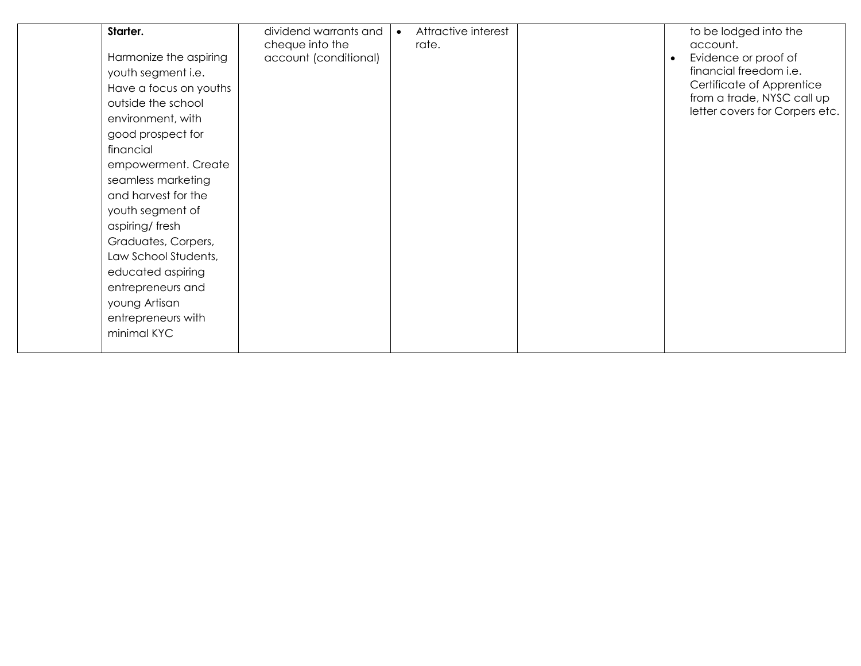| Starter.               | dividend warrants and | Attractive interest |           | to be lodged into the                                        |
|------------------------|-----------------------|---------------------|-----------|--------------------------------------------------------------|
|                        | cheque into the       | rate.               |           | account.                                                     |
| Harmonize the aspiring | account (conditional) |                     | $\bullet$ | Evidence or proof of                                         |
| youth segment i.e.     |                       |                     |           | financial freedom i.e.                                       |
| Have a focus on youths |                       |                     |           | Certificate of Apprentice                                    |
| outside the school     |                       |                     |           | from a trade, NYSC call up<br>letter covers for Corpers etc. |
| environment, with      |                       |                     |           |                                                              |
| good prospect for      |                       |                     |           |                                                              |
| financial              |                       |                     |           |                                                              |
| empowerment. Create    |                       |                     |           |                                                              |
| seamless marketing     |                       |                     |           |                                                              |
| and harvest for the    |                       |                     |           |                                                              |
| youth segment of       |                       |                     |           |                                                              |
| aspiring/fresh         |                       |                     |           |                                                              |
| Graduates, Corpers,    |                       |                     |           |                                                              |
| Law School Students,   |                       |                     |           |                                                              |
| educated aspiring      |                       |                     |           |                                                              |
| entrepreneurs and      |                       |                     |           |                                                              |
| young Artisan          |                       |                     |           |                                                              |
| entrepreneurs with     |                       |                     |           |                                                              |
| minimal KYC            |                       |                     |           |                                                              |
|                        |                       |                     |           |                                                              |